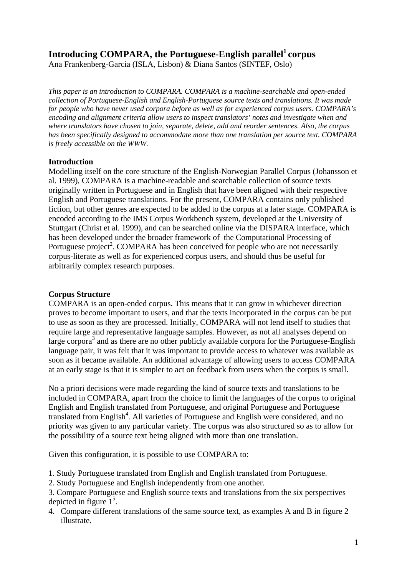# **Introducing COMPARA, the Portuguese-English parallel<sup>1</sup> corpus**

Ana Frankenberg-Garcia (ISLA, Lisbon) & Diana Santos (SINTEF, Oslo)

*This paper is an introduction to COMPARA. COMPARA is a machine-searchable and open-ended collection of Portuguese-English and English-Portuguese source texts and translations. It was made for people who have never used corpora before as well as for experienced corpus users. COMPARA's encoding and alignment criteria allow users to inspect translators' notes and investigate when and where translators have chosen to join, separate, delete, add and reorder sentences. Also, the corpus has been specifically designed to accommodate more than one translation per source text. COMPARA is freely accessible on the WWW.* 

# **Introduction**

Modelling itself on the core structure of the English-Norwegian Parallel Corpus (Johansson et al. 1999), COMPARA is a machine-readable and searchable collection of source texts originally written in Portuguese and in English that have been aligned with their respective English and Portuguese translations. For the present, COMPARA contains only published fiction, but other genres are expected to be added to the corpus at a later stage. COMPARA is encoded according to the IMS Corpus Workbench system, developed at the University of Stuttgart (Christ et al. 1999), and can be searched online via the DISPARA interface, which has been developed under the broader framework of the Computational Processing of Portuguese project<sup>2</sup>. COMPARA has been conceived for people who are not necessarily corpus-literate as well as for experienced corpus users, and should thus be useful for arbitrarily complex research purposes.

# **Corpus Structure**

COMPARA is an open-ended corpus. This means that it can grow in whichever direction proves to become important to users, and that the texts incorporated in the corpus can be put to use as soon as they are processed. Initially, COMPARA will not lend itself to studies that require large and representative language samples. However, as not all analyses depend on large corpora<sup>3</sup> and as there are no other publicly available corpora for the Portuguese-English language pair, it was felt that it was important to provide access to whatever was available as soon as it became available. An additional advantage of allowing users to access COMPARA at an early stage is that it is simpler to act on feedback from users when the corpus is small.

No a priori decisions were made regarding the kind of source texts and translations to be included in COMPARA, apart from the choice to limit the languages of the corpus to original English and English translated from Portuguese, and original Portuguese and Portuguese translated from English<sup>4</sup>. All varieties of Portuguese and English were considered, and no priority was given to any particular variety. The corpus was also structured so as to allow for the possibility of a source text being aligned with more than one translation.

Given this configuration, it is possible to use COMPARA to:

- 1. Study Portuguese translated from English and English translated from Portuguese.
- 2. Study Portuguese and English independently from one another.

3. Compare Portuguese and English source texts and translations from the six perspectives depicted in figure  $1^5$ .

4. Compare different translations of the same source text, as examples A and B in figure 2 illustrate.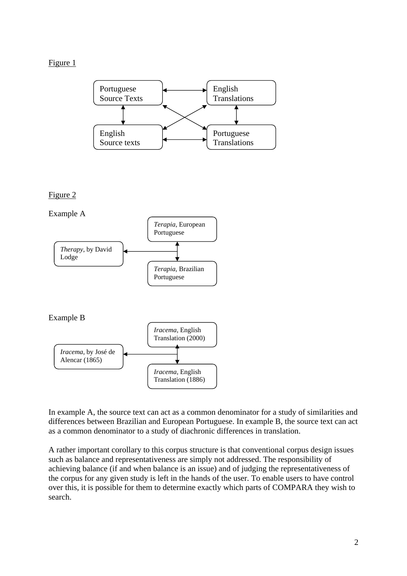# Figure 1



In example A, the source text can act as a common denominator for a study of similarities and differences between Brazilian and European Portuguese. In example B, the source text can act as a common denominator to a study of diachronic differences in translation.

A rather important corollary to this corpus structure is that conventional corpus design issues such as balance and representativeness are simply not addressed. The responsibility of achieving balance (if and when balance is an issue) and of judging the representativeness of the corpus for any given study is left in the hands of the user. To enable users to have control over this, it is possible for them to determine exactly which parts of COMPARA they wish to search.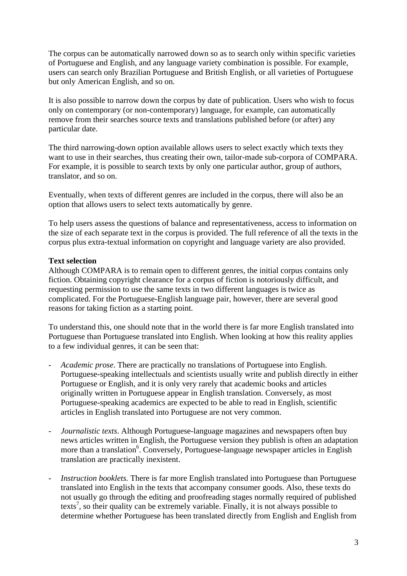The corpus can be automatically narrowed down so as to search only within specific varieties of Portuguese and English, and any language variety combination is possible. For example, users can search only Brazilian Portuguese and British English, or all varieties of Portuguese but only American English, and so on.

It is also possible to narrow down the corpus by date of publication. Users who wish to focus only on contemporary (or non-contemporary) language, for example, can automatically remove from their searches source texts and translations published before (or after) any particular date.

The third narrowing-down option available allows users to select exactly which texts they want to use in their searches, thus creating their own, tailor-made sub-corpora of COMPARA. For example, it is possible to search texts by only one particular author, group of authors, translator, and so on.

Eventually, when texts of different genres are included in the corpus, there will also be an option that allows users to select texts automatically by genre.

To help users assess the questions of balance and representativeness, access to information on the size of each separate text in the corpus is provided. The full reference of all the texts in the corpus plus extra-textual information on copyright and language variety are also provided.

# **Text selection**

Although COMPARA is to remain open to different genres, the initial corpus contains only fiction. Obtaining copyright clearance for a corpus of fiction is notoriously difficult, and requesting permission to use the same texts in two different languages is twice as complicated. For the Portuguese-English language pair, however, there are several good reasons for taking fiction as a starting point.

To understand this, one should note that in the world there is far more English translated into Portuguese than Portuguese translated into English. When looking at how this reality applies to a few individual genres, it can be seen that:

- *Academic prose*. There are practically no translations of Portuguese into English. Portuguese-speaking intellectuals and scientists usually write and publish directly in either Portuguese or English, and it is only very rarely that academic books and articles originally written in Portuguese appear in English translation. Conversely, as most Portuguese-speaking academics are expected to be able to read in English, scientific articles in English translated into Portuguese are not very common.
- *Journalistic texts*. Although Portuguese-language magazines and newspapers often buy news articles written in English, the Portuguese version they publish is often an adaptation more than a translation<sup>6</sup>. Conversely, Portuguese-language newspaper articles in English translation are practically inexistent.
- *Instruction booklets.* There is far more English translated into Portuguese than Portuguese translated into English in the texts that accompany consumer goods. Also, these texts do not usually go through the editing and proofreading stages normally required of published texts<sup>7</sup>, so their quality can be extremely variable. Finally, it is not always possible to determine whether Portuguese has been translated directly from English and English from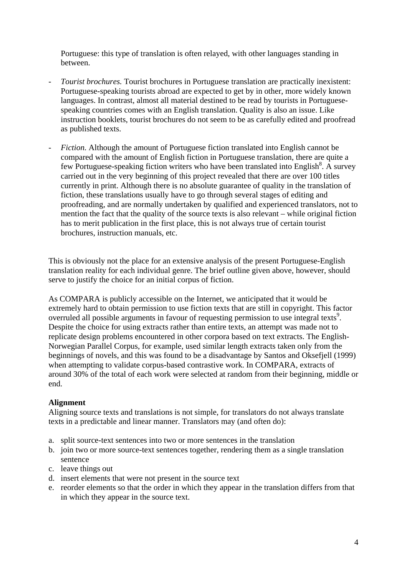Portuguese: this type of translation is often relayed, with other languages standing in between.

- *Tourist brochures.* Tourist brochures in Portuguese translation are practically inexistent: Portuguese-speaking tourists abroad are expected to get by in other, more widely known languages. In contrast, almost all material destined to be read by tourists in Portuguesespeaking countries comes with an English translation. Quality is also an issue. Like instruction booklets, tourist brochures do not seem to be as carefully edited and proofread as published texts.
- *Fiction.* Although the amount of Portuguese fiction translated into English cannot be compared with the amount of English fiction in Portuguese translation, there are quite a few Portuguese-speaking fiction writers who have been translated into English<sup>8</sup>. A survey carried out in the very beginning of this project revealed that there are over 100 titles currently in print. Although there is no absolute guarantee of quality in the translation of fiction, these translations usually have to go through several stages of editing and proofreading, and are normally undertaken by qualified and experienced translators, not to mention the fact that the quality of the source texts is also relevant – while original fiction has to merit publication in the first place, this is not always true of certain tourist brochures, instruction manuals, etc.

This is obviously not the place for an extensive analysis of the present Portuguese-English translation reality for each individual genre. The brief outline given above, however, should serve to justify the choice for an initial corpus of fiction.

As COMPARA is publicly accessible on the Internet, we anticipated that it would be extremely hard to obtain permission to use fiction texts that are still in copyright. This factor overruled all possible arguments in favour of requesting permission to use integral texts<sup>9</sup>. Despite the choice for using extracts rather than entire texts, an attempt was made not to replicate design problems encountered in other corpora based on text extracts. The English-Norwegian Parallel Corpus, for example, used similar length extracts taken only from the beginnings of novels, and this was found to be a disadvantage by Santos and Oksefjell (1999) when attempting to validate corpus-based contrastive work. In COMPARA, extracts of around 30% of the total of each work were selected at random from their beginning, middle or end.

#### **Alignment**

Aligning source texts and translations is not simple, for translators do not always translate texts in a predictable and linear manner. Translators may (and often do):

- a. split source-text sentences into two or more sentences in the translation
- b. join two or more source-text sentences together, rendering them as a single translation sentence
- c. leave things out
- d. insert elements that were not present in the source text
- e. reorder elements so that the order in which they appear in the translation differs from that in which they appear in the source text.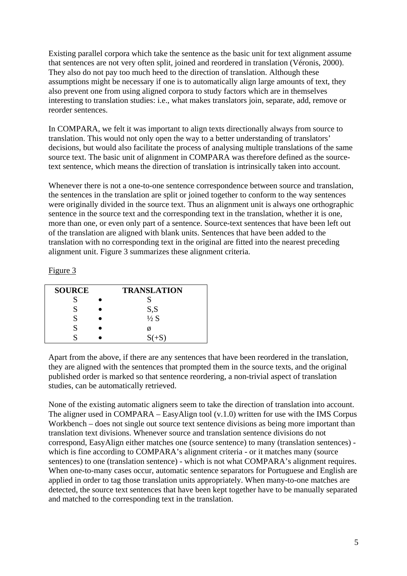Existing parallel corpora which take the sentence as the basic unit for text alignment assume that sentences are not very often split, joined and reordered in translation (Véronis, 2000). They also do not pay too much heed to the direction of translation. Although these assumptions might be necessary if one is to automatically align large amounts of text, they also prevent one from using aligned corpora to study factors which are in themselves interesting to translation studies: i.e., what makes translators join, separate, add, remove or reorder sentences.

In COMPARA, we felt it was important to align texts directionally always from source to translation. This would not only open the way to a better understanding of translators' decisions, but would also facilitate the process of analysing multiple translations of the same source text. The basic unit of alignment in COMPARA was therefore defined as the sourcetext sentence, which means the direction of translation is intrinsically taken into account.

Whenever there is not a one-to-one sentence correspondence between source and translation, the sentences in the translation are split or joined together to conform to the way sentences were originally divided in the source text. Thus an alignment unit is always one orthographic sentence in the source text and the corresponding text in the translation, whether it is one, more than one, or even only part of a sentence. Source-text sentences that have been left out of the translation are aligned with blank units. Sentences that have been added to the translation with no corresponding text in the original are fitted into the nearest preceding alignment unit. Figure 3 summarizes these alignment criteria.

# Figure 3

| <b>SOURCE</b> | <b>TRANSLATION</b>       |
|---------------|--------------------------|
|               | S                        |
| S             | $S, S$<br>$\frac{1}{2}S$ |
| S             |                          |
| S             | Ø                        |
| R             | $S(+S)$                  |
|               |                          |

Apart from the above, if there are any sentences that have been reordered in the translation, they are aligned with the sentences that prompted them in the source texts, and the original published order is marked so that sentence reordering, a non-trivial aspect of translation studies, can be automatically retrieved.

None of the existing automatic aligners seem to take the direction of translation into account. The aligner used in COMPARA – EasyAlign tool (v.1.0) written for use with the IMS Corpus Workbench – does not single out source text sentence divisions as being more important than translation text divisions. Whenever source and translation sentence divisions do not correspond, EasyAlign either matches one (source sentence) to many (translation sentences) which is fine according to COMPARA's alignment criteria - or it matches many (source sentences) to one (translation sentence) - which is not what COMPARA's alignment requires. When one-to-many cases occur, automatic sentence separators for Portuguese and English are applied in order to tag those translation units appropriately. When many-to-one matches are detected, the source text sentences that have been kept together have to be manually separated and matched to the corresponding text in the translation.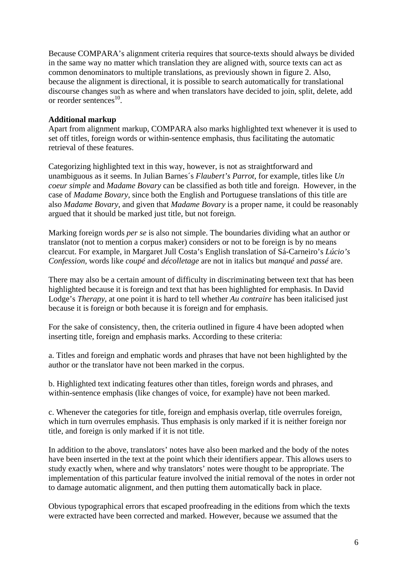Because COMPARA's alignment criteria requires that source-texts should always be divided in the same way no matter which translation they are aligned with, source texts can act as common denominators to multiple translations, as previously shown in figure 2. Also, because the alignment is directional, it is possible to search automatically for translational discourse changes such as where and when translators have decided to join, split, delete, add or reorder sentences<sup>10</sup>

# **Additional markup**

Apart from alignment markup, COMPARA also marks highlighted text whenever it is used to set off titles, foreign words or within-sentence emphasis, thus facilitating the automatic retrieval of these features.

Categorizing highlighted text in this way, however, is not as straightforward and unambiguous as it seems. In Julian Barnes´s *Flaubert's Parrot*, for example, titles like *Un coeur simple* and *Madame Bovary* can be classified as both title and foreign. However, in the case of *Madame Bovary,* since both the English and Portuguese translations of this title are also *Madame Bovary,* and given that *Madame Bovary* is a proper name, it could be reasonably argued that it should be marked just title, but not foreign.

Marking foreign words *per se* is also not simple. The boundaries dividing what an author or translator (not to mention a corpus maker) considers or not to be foreign is by no means clearcut. For example, in Margaret Jull Costa's English translation of Sá-Carneiro's *Lúcio's Confession,* words like *coupé* and *décolletage* are not in italics but *manqué* and *passé* are.

There may also be a certain amount of difficulty in discriminating between text that has been highlighted because it is foreign and text that has been highlighted for emphasis. In David Lodge's *Therapy,* at one point it is hard to tell whether *Au contraire* has been italicised just because it is foreign or both because it is foreign and for emphasis.

For the sake of consistency, then, the criteria outlined in figure 4 have been adopted when inserting title, foreign and emphasis marks. According to these criteria:

a. Titles and foreign and emphatic words and phrases that have not been highlighted by the author or the translator have not been marked in the corpus.

b. Highlighted text indicating features other than titles, foreign words and phrases, and within-sentence emphasis (like changes of voice, for example) have not been marked.

c. Whenever the categories for title, foreign and emphasis overlap, title overrules foreign, which in turn overrules emphasis. Thus emphasis is only marked if it is neither foreign nor title, and foreign is only marked if it is not title.

In addition to the above, translators' notes have also been marked and the body of the notes have been inserted in the text at the point which their identifiers appear. This allows users to study exactly when, where and why translators' notes were thought to be appropriate. The implementation of this particular feature involved the initial removal of the notes in order not to damage automatic alignment, and then putting them automatically back in place.

Obvious typographical errors that escaped proofreading in the editions from which the texts were extracted have been corrected and marked. However, because we assumed that the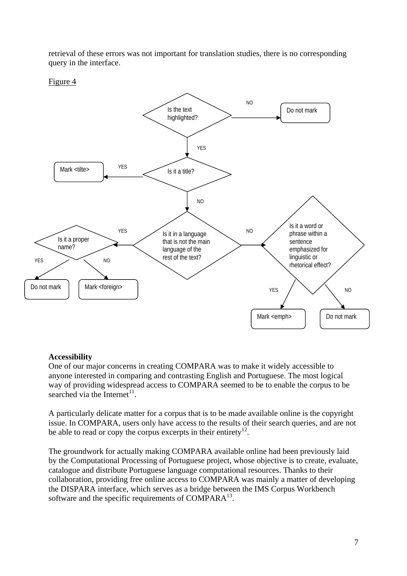retrieval of these errors was not important for translation studies, there is no corresponding query in the interface.

Figure 4



# **Accessibility**

One of our major concerns in creating COMPARA was to make it widely accessible to anyone interested in comparing and contrasting English and Portuguese. The most logical way of providing widespread access to COMPARA seemed to be to enable the corpus to be searched via the Internet<sup>11</sup>.

A particularly delicate matter for a corpus that is to be made available online is the copyright issue. In COMPARA, users only have access to the results of their search queries, and are not be able to read or copy the corpus excerpts in their entirety<sup>12</sup>.

The groundwork for actually making COMPARA available online had been previously laid by the Computational Processing of Portuguese project, whose objective is to create, evaluate, catalogue and distribute Portuguese language computational resources. Thanks to their collaboration, providing free online access to COMPARA was mainly a matter of developing the DISPARA interface, which serves as a bridge between the IMS Corpus Workbench software and the specific requirements of  $COMPARA<sup>13</sup>$ .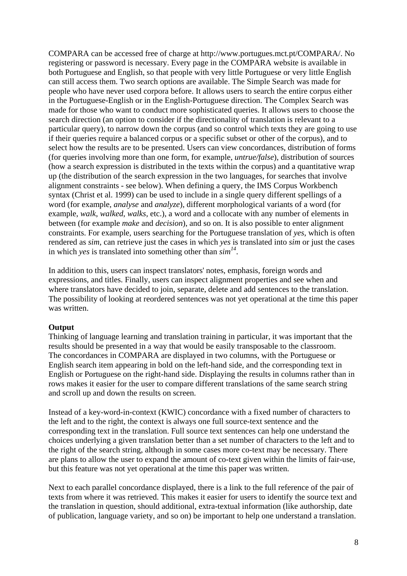COMPARA can be accessed free of charge at http://www.portugues.mct.pt/COMPARA/. No registering or password is necessary. Every page in the COMPARA website is available in both Portuguese and English, so that people with very little Portuguese or very little English can still access them. Two search options are available. The Simple Search was made for people who have never used corpora before. It allows users to search the entire corpus either in the Portuguese-English or in the English-Portuguese direction. The Complex Search was made for those who want to conduct more sophisticated queries. It allows users to choose the search direction (an option to consider if the directionality of translation is relevant to a particular query), to narrow down the corpus (and so control which texts they are going to use if their queries require a balanced corpus or a specific subset or other of the corpus), and to select how the results are to be presented. Users can view concordances, distribution of forms (for queries involving more than one form, for example, *untrue/false*), distribution of sources (how a search expression is distributed in the texts within the corpus) and a quantitative wrap up (the distribution of the search expression in the two languages, for searches that involve alignment constraints - see below). When defining a query, the IMS Corpus Workbench syntax (Christ et al. 1999) can be used to include in a single query different spellings of a word (for example, *analyse* and *analyze*), different morphological variants of a word (for example, *walk*, *walked*, *walks*, etc.), a word and a collocate with any number of elements in between (for example *make* and *decision*), and so on. It is also possible to enter alignment constraints. For example, users searching for the Portuguese translation of *yes*, which is often rendered as *sim*, can retrieve just the cases in which *yes* is translated into *sim* or just the cases in which *yes* is translated into something other than *sim14*.

In addition to this, users can inspect translators' notes, emphasis, foreign words and expressions, and titles. Finally, users can inspect alignment properties and see when and where translators have decided to join, separate, delete and add sentences to the translation. The possibility of looking at reordered sentences was not yet operational at the time this paper was written.

#### **Output**

Thinking of language learning and translation training in particular, it was important that the results should be presented in a way that would be easily transposable to the classroom. The concordances in COMPARA are displayed in two columns, with the Portuguese or English search item appearing in bold on the left-hand side, and the corresponding text in English or Portuguese on the right-hand side. Displaying the results in columns rather than in rows makes it easier for the user to compare different translations of the same search string and scroll up and down the results on screen.

Instead of a key-word-in-context (KWIC) concordance with a fixed number of characters to the left and to the right, the context is always one full source-text sentence and the corresponding text in the translation. Full source text sentences can help one understand the choices underlying a given translation better than a set number of characters to the left and to the right of the search string, although in some cases more co-text may be necessary. There are plans to allow the user to expand the amount of co-text given within the limits of fair-use, but this feature was not yet operational at the time this paper was written.

Next to each parallel concordance displayed, there is a link to the full reference of the pair of texts from where it was retrieved. This makes it easier for users to identify the source text and the translation in question, should additional, extra-textual information (like authorship, date of publication, language variety, and so on) be important to help one understand a translation.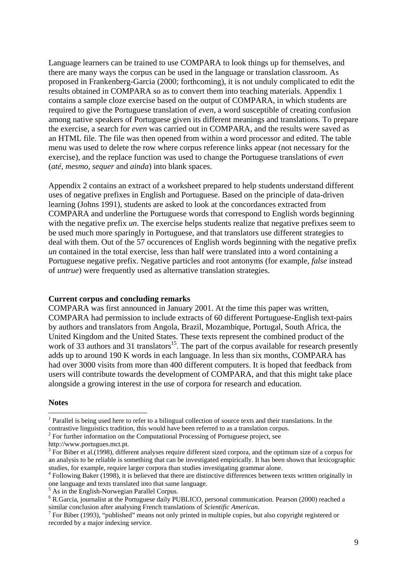Language learners can be trained to use COMPARA to look things up for themselves, and there are many ways the corpus can be used in the language or translation classroom. As proposed in Frankenberg-Garcia (2000; forthcoming), it is not unduly complicated to edit the results obtained in COMPARA so as to convert them into teaching materials. Appendix 1 contains a sample cloze exercise based on the output of COMPARA, in which students are required to give the Portuguese translation of *even,* a word susceptible of creating confusion among native speakers of Portuguese given its different meanings and translations*.* To prepare the exercise, a search for *even* was carried out in COMPARA, and the results were saved as an HTML file. The file was then opened from within a word processor and edited. The table menu was used to delete the row where corpus reference links appear (not necessary for the exercise), and the replace function was used to change the Portuguese translations of *even*  (*até, mesmo, sequer* and *ainda*) into blank spaces.

Appendix 2 contains an extract of a worksheet prepared to help students understand different uses of negative prefixes in English and Portuguese. Based on the principle of data-driven learning (Johns 1991), students are asked to look at the concordances extracted from COMPARA and underline the Portuguese words that correspond to English words beginning with the negative prefix *un*. The exercise helps students realize that negative prefixes seem to be used much more sparingly in Portuguese, and that translators use different strategies to deal with them. Out of the 57 occurences of English words beginning with the negative prefix *un* contained in the total exercise, less than half were translated into a word containing a Portuguese negative prefix. Negative particles and root antonyms (for example, *false* instead of *untrue*) were frequently used as alternative translation strategies.

#### **Current corpus and concluding remarks**

COMPARA was first announced in January 2001. At the time this paper was written, COMPARA had permission to include extracts of 60 different Portuguese-English text-pairs by authors and translators from Angola, Brazil, Mozambique, Portugal, South Africa, the United Kingdom and the United States. These texts represent the combined product of the work of 33 authors and 31 translators<sup>15</sup>. The part of the corpus available for research presently adds up to around 190 K words in each language. In less than six months, COMPARA has had over 3000 visits from more than 400 different computers. It is hoped that feedback from users will contribute towards the development of COMPARA, and that this might take place alongside a growing interest in the use of corpora for research and education.

#### **Notes**

 $\overline{a}$ 

<sup>&</sup>lt;sup>1</sup> Parallel is being used here to refer to a bilingual collection of source texts and their translations. In the contrastive linguistics tradition, this would have been referred to as a translation corpus. 2

<sup>&</sup>lt;sup>2</sup> For further information on the Computational Processing of Portuguese project, see

http://www.portugues.mct.pt.

 $3$  For Biber et al.(1998), different analyses require different sized corpora, and the optimum size of a corpus for an analysis to be reliable is something that can be investigated empirically. It has been shown that lexicographic studies, for example, require larger corpora than studies investigating grammar alone.

<sup>&</sup>lt;sup>4</sup> Following Baker (1998), it is believed that there are distinctive differences between texts written originally in one language and texts translated into that same language.

<sup>5</sup> As in the English-Norwegian Parallel Corpus.

<sup>&</sup>lt;sup>6</sup> R.Garcia, journalist at the Portuguese daily PUBLICO, personal communication. Pearson (2000) reached a similar conclusion after analysing French translations of *Scientific American.* <sup>7</sup>

<sup>&</sup>lt;sup>7</sup> For Biber (1993), "published" means not only printed in multiple copies, but also copyright registered or recorded by a major indexing service.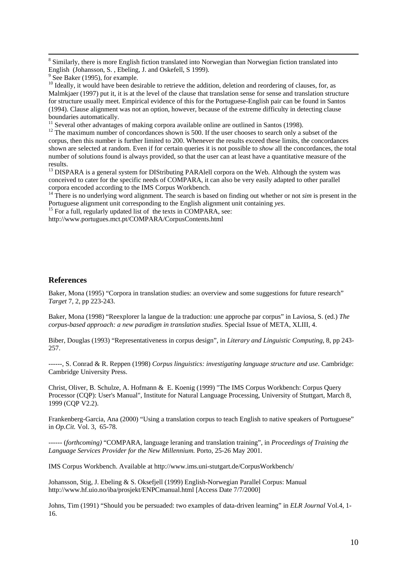8 <sup>8</sup> Similarly, there is more English fiction translated into Norwegian than Norwegian fiction translated into English (Johansson, S. , Ebeling, J. and Oskefell, S 1999).

<sup>10</sup> Ideally, it would have been desirable to retrieve the addition, deletion and reordering of clauses, for, as Malmkjaer (1997) put it, it is at the level of the clause that translation sense for sense and translation structure for structure usually meet. Empirical evidence of this for the Portuguese-English pair can be found in Santos (1994). Clause alignment was not an option, however, because of the extreme difficulty in detecting clause boundaries automatically.

 $11$  Several other advantages of making corpora available online are outlined in Santos (1998).

<sup>12</sup> The maximum number of concordances shown is 500. If the user chooses to search only a subset of the corpus, then this number is further limited to 200. Whenever the results exceed these limits, the concordances shown are selected at random. Even if for certain queries it is not possible to *show* all the concordances, the total number of solutions found is always provided, so that the user can at least have a quantitative measure of the results.

<sup>13</sup> DISPARA is a general system for DIStributing PARAlell corpora on the Web. Although the system was conceived to cater for the specific needs of COMPARA, it can also be very easily adapted to other parallel corpora encoded according to the IMS Corpus Workbench.

<sup>14</sup> There is no underlying word alignment. The search is based on finding out whether or not *sim* is present in the Portuguese alignment unit corresponding to the English alignment unit containing *yes*. <sup>15</sup> For a full, regularly updated list of the texts in COMPARA, see:

http://www.portugues.mct.pt/COMPARA/CorpusContents.html

#### **References**

Baker, Mona (1995) "Corpora in translation studies: an overview and some suggestions for future research" *Target* 7, 2, pp 223-243.

Baker, Mona (1998) "Reexplorer la langue de la traduction: une approche par corpus" in Laviosa, S. (ed.) *The corpus-based approach: a new paradigm in translation studies*. Special Issue of META, XLIII, 4.

Biber, Douglas (1993) "Representativeness in corpus design", in *Literary and Linguistic Computing,* 8, pp 243- 257.

------, S. Conrad & R. Reppen (1998) *Corpus linguistics: investigating language structure and use*. Cambridge: Cambridge University Press.

Christ, Oliver, B. Schulze, A. Hofmann & E. Koenig (1999) "The IMS Corpus Workbench: Corpus Query Processor (CQP): User's Manual", Institute for Natural Language Processing, University of Stuttgart, March 8, 1999 (CQP V2.2).

Frankenberg-Garcia, Ana (2000) "Using a translation corpus to teach English to native speakers of Portuguese" in *Op.Cit.* Vol. 3, 65-78.

------ (*forthcoming)* "COMPARA, language leraning and translation training", in *Proceedings of Training the Language Services Provider for the New Millennium.* Porto, 25-26 May 2001.

IMS Corpus Workbench. Available at http://www.ims.uni-stutgart.de/CorpusWorkbench/

Johansson, Stig, J. Ebeling & S. Oksefjell (1999) English-Norwegian Parallel Corpus: Manual http://www.hf.uio.no/iba/prosjekt/ENPCmanual.html [Access Date 7/7/2000]

Johns, Tim (1991) "Should you be persuaded: two examples of data-driven learning" in *ELR Journal* Vol.4, 1- 16.

<sup>&</sup>lt;sup>9</sup> See Baker (1995), for example.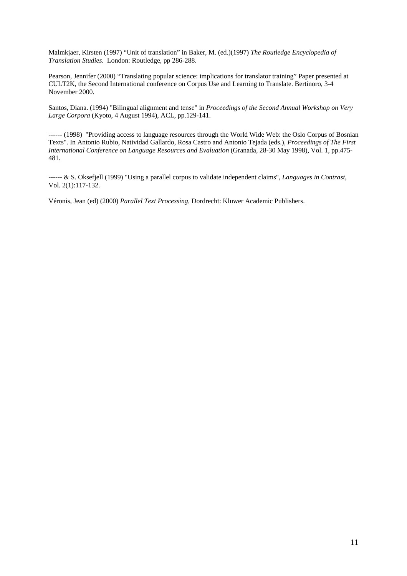Malmkjaer, Kirsten (1997) "Unit of translation" in Baker, M. (ed.)(1997) *The Routledge Encyclopedia of Translation Studies*. London: Routledge, pp 286-288.

Pearson, Jennifer (2000) "Translating popular science: implications for translator training" Paper presented at CULT2K, the Second International conference on Corpus Use and Learning to Translate. Bertinoro, 3-4 November 2000.

Santos, Diana. (1994) "Bilingual alignment and tense" in *Proceedings of the Second Annual Workshop on Very Large Corpora* (Kyoto, 4 August 1994), ACL, pp.129-141.

------ (1998) "Providing access to language resources through the World Wide Web: the Oslo Corpus of Bosnian Texts". In Antonio Rubio, Natividad Gallardo, Rosa Castro and Antonio Tejada (eds.), *Proceedings of The First International Conference on Language Resources and Evaluation* (Granada, 28-30 May 1998), Vol. 1, pp.475- 481.

------ & S. Oksefjell (1999) "Using a parallel corpus to validate independent claims", *Languages in Contrast*, Vol. 2(1):117-132.

Véronis, Jean (ed) (2000) *Parallel Text Processing*, Dordrecht: Kluwer Academic Publishers.